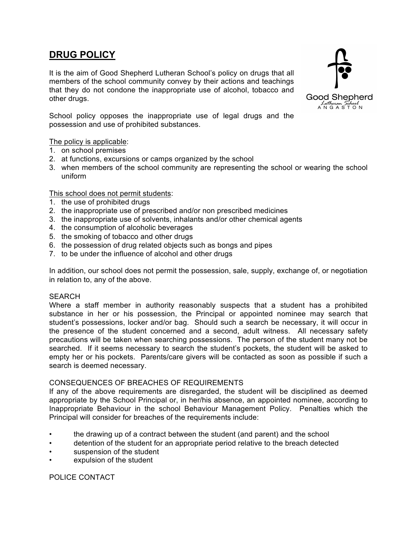# **DRUG POLICY**

It is the aim of Good Shepherd Lutheran School's policy on drugs that all members of the school community convey by their actions and teachings that they do not condone the inappropriate use of alcohol, tobacco and other drugs.



School policy opposes the inappropriate use of legal drugs and the possession and use of prohibited substances.

# The policy is applicable:

- 1. on school premises
- 2. at functions, excursions or camps organized by the school
- 3. when members of the school community are representing the school or wearing the school uniform

#### This school does not permit students:

- 1. the use of prohibited drugs
- 2. the inappropriate use of prescribed and/or non prescribed medicines
- 3. the inappropriate use of solvents, inhalants and/or other chemical agents
- 4. the consumption of alcoholic beverages
- 5. the smoking of tobacco and other drugs
- 6. the possession of drug related objects such as bongs and pipes
- 7. to be under the influence of alcohol and other drugs

In addition, our school does not permit the possession, sale, supply, exchange of, or negotiation in relation to, any of the above.

#### **SEARCH**

Where a staff member in authority reasonably suspects that a student has a prohibited substance in her or his possession, the Principal or appointed nominee may search that student's possessions, locker and/or bag. Should such a search be necessary, it will occur in the presence of the student concerned and a second, adult witness. All necessary safety precautions will be taken when searching possessions. The person of the student many not be searched. If it seems necessary to search the student's pockets, the student will be asked to empty her or his pockets. Parents/care givers will be contacted as soon as possible if such a search is deemed necessary.

#### CONSEQUENCES OF BREACHES OF REQUIREMENTS

If any of the above requirements are disregarded, the student will be disciplined as deemed appropriate by the School Principal or, in her/his absence, an appointed nominee, according to Inappropriate Behaviour in the school Behaviour Management Policy. Penalties which the Principal will consider for breaches of the requirements include:

- the drawing up of a contract between the student (and parent) and the school
- detention of the student for an appropriate period relative to the breach detected
- suspension of the student
- expulsion of the student

#### POLICE CONTACT